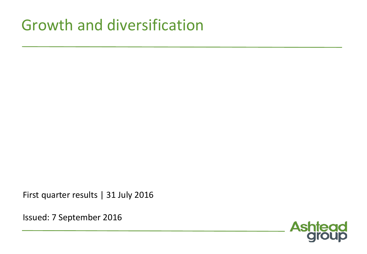## Growth and diversification

First quarter results | 31 July 2016

Issued: 7 September 2016

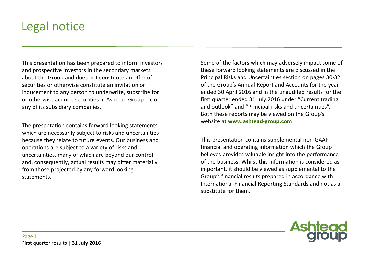#### Legal notice

This presentation has been prepared to inform investors and prospective investors in the secondary markets about the Group and does not constitute an offer of securities or otherwise constitute an invitation or inducement to any person to underwrite, subscribe for or otherwise acquire securities in Ashtead Group plc or any of its subsidiary companies.

The presentation contains forward looking statements which are necessarily subject to risks and uncertainties because they relate to future events. Our business and operations are subject to a variety of risks and uncertainties, many of which are beyond our control and, consequently, actual results may differ materially from those projected by any forward looking statements.

Some of the factors which may adversely impact some of these forward looking statements are discussed in the Principal Risks and Uncertainties section on pages 30-32 of the Group's Annual Report and Accounts for the year ended 30 April 2016 and in the unaudited results for the first quarter ended 31 July 2016 under "Current trading and outlook" and "Principal risks and uncertainties". Both these reports may be viewed on the Group's website at **www.ashtead-group.com**

This presentation contains supplemental non-GAAP financial and operating information which the Group believes provides valuable insight into the performance of the business. Whilst this information is considered as important, it should be viewed as supplemental to the Group's financial results prepared in accordance with International Financial Reporting Standards and not as a substitute for them.

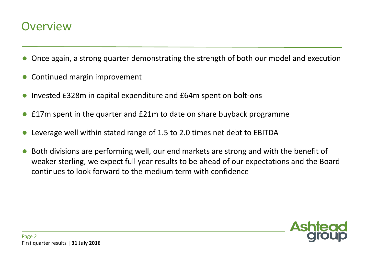#### **Overview**

- Once again, a strong quarter demonstrating the strength of both our model and execution
- Continued margin improvement
- Invested £328m in capital expenditure and £64m spent on bolt-ons
- £17m spent in the quarter and £21m to date on share buyback programme
- Leverage well within stated range of 1.5 to 2.0 times net debt to EBITDA
- Both divisions are performing well, our end markets are strong and with the benefit of weaker sterling, we expect full year results to be ahead of our expectations and the Board continues to look forward to the medium term with confidence

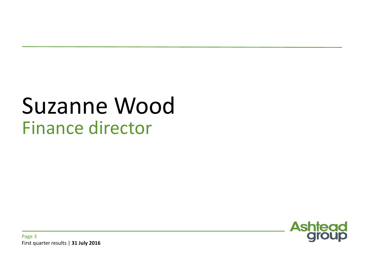## Suzanne Wood Finance director

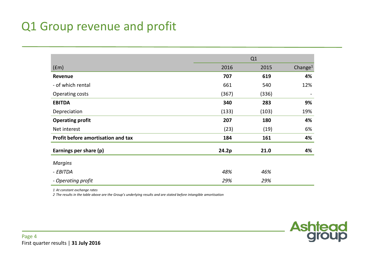#### Q1 Group revenue and profit

| 2016<br>(fm)<br>707<br>Revenue<br>- of which rental<br>661<br>(367)<br>Operating costs | Q1    |       |                     |
|----------------------------------------------------------------------------------------|-------|-------|---------------------|
|                                                                                        |       | 2015  | Change <sup>1</sup> |
|                                                                                        |       | 619   | 4%                  |
|                                                                                        |       | 540   | 12%                 |
|                                                                                        |       | (336) |                     |
| <b>EBITDA</b>                                                                          | 340   | 283   | 9%                  |
| Depreciation                                                                           | (133) | (103) | 19%                 |
| <b>Operating profit</b>                                                                | 207   | 180   | 4%                  |
| Net interest                                                                           | (23)  | (19)  | 6%                  |
| Profit before amortisation and tax                                                     | 184   | 161   | 4%                  |
| Earnings per share (p)                                                                 | 24.2p | 21.0  | 4%                  |
| <b>Margins</b>                                                                         |       |       |                     |
| - EBITDA                                                                               | 48%   | 46%   |                     |
| - Operating profit                                                                     | 29%   | 29%   |                     |

*1 At constant exchange rates*

*2 The results in the table above are the Group's underlying results and are stated before intangible amortisation*

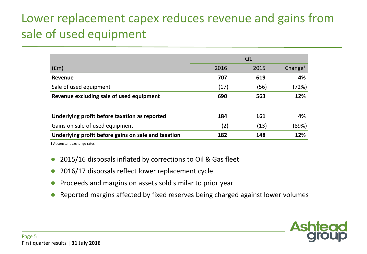## Lower replacement capex reduces revenue and gains from sale of used equipment

|                                                     |      | Q <sub>1</sub> |                     |
|-----------------------------------------------------|------|----------------|---------------------|
| (fm)                                                | 2016 | 2015           | Change <sup>1</sup> |
| Revenue                                             | 707  | 619            | 4%                  |
| Sale of used equipment                              | (17) | (56)           | (72%)               |
| Revenue excluding sale of used equipment            | 690  | 563            | 12%                 |
| Underlying profit before taxation as reported       | 184  | 161            | 4%                  |
| Gains on sale of used equipment                     | (2)  | (13)           | (89%)               |
| Underlying profit before gains on sale and taxation | 182  | 148            | 12%                 |

1 At constant exchange rates

- 2015/16 disposals inflated by corrections to Oil & Gas fleet
- 2016/17 disposals reflect lower replacement cycle
- Proceeds and margins on assets sold similar to prior year
- Reported margins affected by fixed reserves being charged against lower volumes

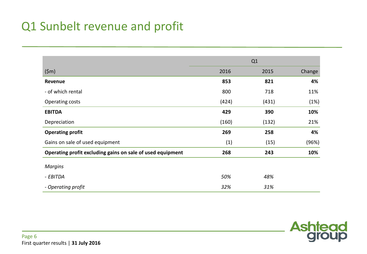#### Q1 Sunbelt revenue and profit

|                                                            |       | Q1    |        |
|------------------------------------------------------------|-------|-------|--------|
| (5m)                                                       | 2016  | 2015  | Change |
| Revenue                                                    | 853   | 821   | 4%     |
| - of which rental                                          | 800   | 718   | 11%    |
| Operating costs                                            | (424) | (431) | (1%)   |
| <b>EBITDA</b>                                              | 429   | 390   | 10%    |
| Depreciation                                               | (160) | (132) | 21%    |
| <b>Operating profit</b>                                    | 269   | 258   | 4%     |
| Gains on sale of used equipment                            | (1)   | (15)  | (96%)  |
| Operating profit excluding gains on sale of used equipment | 268   | 243   | 10%    |
| <b>Margins</b>                                             |       |       |        |
| - EBITDA                                                   | 50%   | 48%   |        |
| - Operating profit                                         | 32%   | 31%   |        |

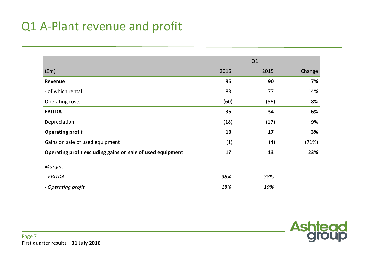#### Q1 A-Plant revenue and profit

|                                                            |      | Q1   |        |
|------------------------------------------------------------|------|------|--------|
| (fm)                                                       | 2016 | 2015 | Change |
| Revenue                                                    | 96   | 90   | 7%     |
| - of which rental                                          | 88   | 77   | 14%    |
| Operating costs                                            | (60) | (56) | 8%     |
| <b>EBITDA</b>                                              | 36   | 34   | 6%     |
| Depreciation                                               | (18) | (17) | 9%     |
| <b>Operating profit</b>                                    | 18   | 17   | 3%     |
| Gains on sale of used equipment                            | (1)  | (4)  | (71%)  |
| Operating profit excluding gains on sale of used equipment | 17   | 13   | 23%    |
| <b>Margins</b>                                             |      |      |        |
| - EBITDA                                                   | 38%  | 38%  |        |
| - Operating profit                                         | 18%  | 19%  |        |

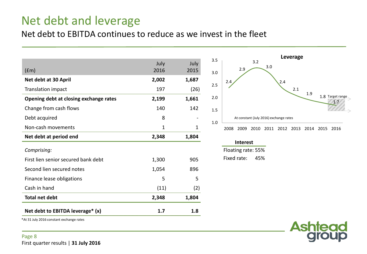#### Net debt and leverage

#### Net debt to EBITDA continues to reduce as we invest in the fleet

| (fm)                                   | July<br>2016 | July<br>2015 |
|----------------------------------------|--------------|--------------|
| Net debt at 30 April                   | 2,002        | 1,687        |
| Translation impact                     | 197          | (26)         |
| Opening debt at closing exchange rates | 2,199        | 1,661        |
| Change from cash flows                 | 140          | 142          |
| Debt acquired                          | 8            |              |
| Non-cash movements                     | 1            | 1            |
| Net debt at period end                 | 2,348        | 1,804        |
| Comprising:                            |              |              |
| First lien senior secured bank debt    | 1,300        | 905          |
| Second lien secured notes              | 1,054        | 896          |
| Finance lease obligations              | 5            | 5            |
| Cash in hand                           | (11)         | (2)          |
| <b>Total net debt</b>                  | 2,348        | 1,804        |
| Net debt to EBITDA leverage* (x)       | 1.7          | 1.8          |



| <b>Interest</b>    |  |
|--------------------|--|
| Floating rate: 55% |  |

Fixed rate: 45%



\*At 31 July 2016 constant exchange rates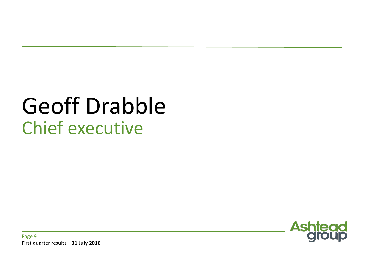# Geoff Drabble Chief executive

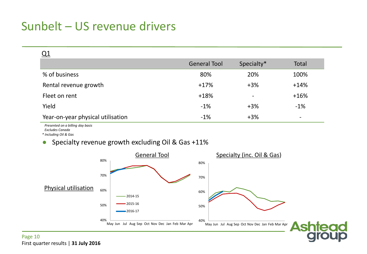#### Sunbelt – US revenue drivers

| <b>General Tool</b> | Specialty*                   | Total                    |
|---------------------|------------------------------|--------------------------|
| 80%                 | 20%                          | 100%                     |
| $+17%$              | $+3%$                        | $+14%$                   |
| $+18%$              | $\qquad \qquad \blacksquare$ | $+16%$                   |
| $-1%$               | $+3%$                        | $-1%$                    |
| $-1%$               | $+3%$                        | $\overline{\phantom{a}}$ |
|                     |                              |                          |

 *Presented on a billing day basis*

 *Excludes Canada*

*\* Including Oil & Gas*

#### Specialty revenue growth excluding Oil & Gas +11%

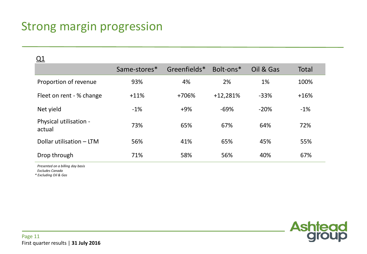#### Strong margin progression

| <u>Q1</u>                        |              |              |            |           |        |
|----------------------------------|--------------|--------------|------------|-----------|--------|
|                                  | Same-stores* | Greenfields* | Bolt-ons*  | Oil & Gas | Total  |
| Proportion of revenue            | 93%          | 4%           | 2%         | 1%        | 100%   |
| Fleet on rent - % change         | $+11%$       | +706%        | $+12,281%$ | $-33%$    | $+16%$ |
| Net yield                        | $-1%$        | $+9%$        | $-69%$     | $-20%$    | $-1%$  |
| Physical utilisation -<br>actual | 73%          | 65%          | 67%        | 64%       | 72%    |
| Dollar utilisation - LTM         | 56%          | 41%          | 65%        | 45%       | 55%    |
| Drop through                     | 71%          | 58%          | 56%        | 40%       | 67%    |

 *Presented on a billing day basis*

 *Excludes Canada*

*\* Excluding Oil & Gas*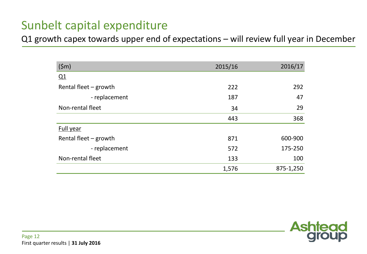#### Sunbelt capital expenditure

Q1 growth capex towards upper end of expectations – will review full year in December

| (5m)                    | 2015/16 | 2016/17   |
|-------------------------|---------|-----------|
| Q1                      |         |           |
| Rental fleet $-$ growth | 222     | 292       |
| - replacement           | 187     | 47        |
| Non-rental fleet        | 34      | 29        |
|                         | 443     | 368       |
| <b>Full year</b>        |         |           |
| Rental fleet $-$ growth | 871     | 600-900   |
| - replacement           | 572     | 175-250   |
| Non-rental fleet        | 133     | 100       |
|                         | 1,576   | 875-1,250 |

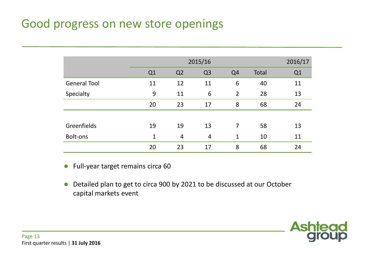#### Good progress on new store openings

|                     | 2015/16 |                |                |                |       | 2016/17 |
|---------------------|---------|----------------|----------------|----------------|-------|---------|
|                     | Q1      | Q <sub>2</sub> | Q <sub>3</sub> | Q <sub>4</sub> | Total | Q1      |
| <b>General Tool</b> | 11      | 12             | 11             | 6              | 40    | 11      |
| Specialty           | 9       | 11             | 6              | $\overline{2}$ | 28    | 13      |
|                     | 20      | 23             | 17             | 8              | 68    | 24      |
|                     |         |                |                |                |       |         |
| Greenfields         | 19      | 19             | 13             | 7              | 58    | 13      |
| Bolt-ons            | 1       | 4              | $\overline{4}$ | $\mathbf 1$    | 10    | 11      |
|                     | 20      | 23             | 17             | 8              | 68    | 24      |

- Full-year target remains circa 60
- Detailed plan to get to circa 900 by 2021 to be discussed at our October capital markets event

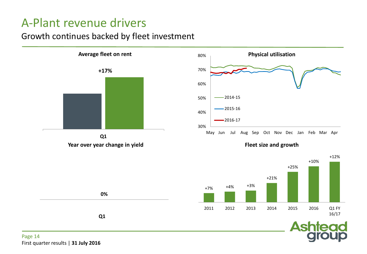#### A-Plant revenue drivers

#### Growth continues backed by fleet investment



First quarter results | **31 July 2016**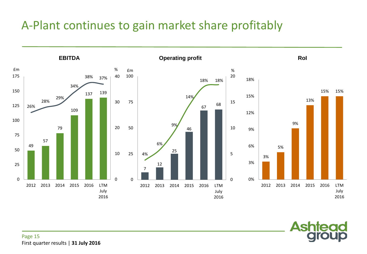#### A-Plant continues to gain market share profitably



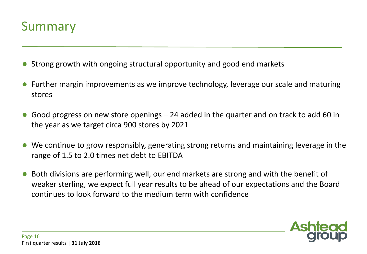

- Strong growth with ongoing structural opportunity and good end markets
- Further margin improvements as we improve technology, leverage our scale and maturing stores
- Good progress on new store openings 24 added in the quarter and on track to add 60 in the year as we target circa 900 stores by 2021
- We continue to grow responsibly, generating strong returns and maintaining leverage in the range of 1.5 to 2.0 times net debt to EBITDA
- Both divisions are performing well, our end markets are strong and with the benefit of weaker sterling, we expect full year results to be ahead of our expectations and the Board continues to look forward to the medium term with confidence

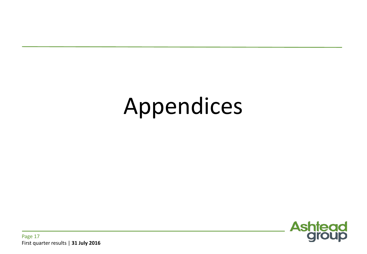# Appendices

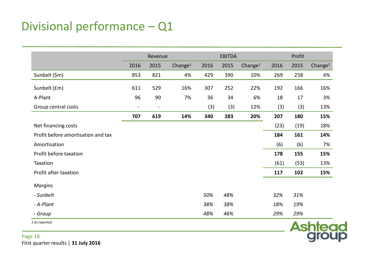#### Divisional performance – Q1

|                                    |                | Revenue        |                     |      | <b>EBITDA</b> |            |      | Profit |            |  |
|------------------------------------|----------------|----------------|---------------------|------|---------------|------------|------|--------|------------|--|
|                                    | 2016           | 2015           | Change <sup>1</sup> | 2016 | 2015          | Change $1$ | 2016 | 2015   | Change $1$ |  |
| Sunbelt (\$m)                      | 853            | 821            | 4%                  | 429  | 390           | 10%        | 269  | 258    | 4%         |  |
| Sunbelt (£m)                       | 611            | 529            | 16%                 | 307  | 252           | 22%        | 192  | 166    | 16%        |  |
| A-Plant                            | 96             | 90             | 7%                  | 36   | 34            | 6%         | 18   | 17     | 3%         |  |
| Group central costs                | $\blacksquare$ | $\blacksquare$ |                     | (3)  | (3)           | 12%        | (3)  | (3)    | 13%        |  |
|                                    | 707            | 619            | 14%                 | 340  | 283           | 20%        | 207  | 180    | 15%        |  |
| Net financing costs                |                |                |                     |      |               |            | (23) | (19)   | 18%        |  |
| Profit before amortisation and tax |                |                |                     |      |               |            | 184  | 161    | 14%        |  |
| Amortisation                       |                |                |                     |      |               |            | (6)  | (6)    | 7%         |  |
| Profit before taxation             |                |                |                     |      |               |            | 178  | 155    | 15%        |  |
| Taxation                           |                |                |                     |      |               |            | (61) | (53)   | 13%        |  |
| Profit after taxation              |                |                |                     |      |               |            | 117  | 102    | 15%        |  |
| <b>Margins</b>                     |                |                |                     |      |               |            |      |        |            |  |
| - Sunbelt                          |                |                |                     | 50%  | 48%           |            | 32%  | 31%    |            |  |
| - A-Plant                          |                |                |                     | 38%  | 38%           |            | 18%  | 19%    |            |  |
| - Group                            |                |                |                     | 48%  | 46%           |            | 29%  | 29%    |            |  |

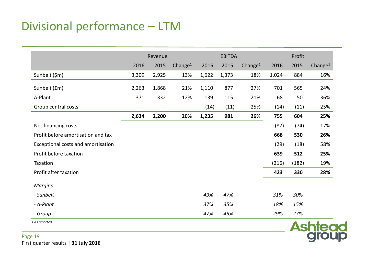#### Divisional performance – LTM

|                                    | Revenue |                |                     |       | <b>EBITDA</b> |                     |       | Profit |                     |  |
|------------------------------------|---------|----------------|---------------------|-------|---------------|---------------------|-------|--------|---------------------|--|
|                                    | 2016    | 2015           | Change <sup>1</sup> | 2016  | 2015          | Change <sup>1</sup> | 2016  | 2015   | Change <sup>1</sup> |  |
| Sunbelt (\$m)                      | 3,309   | 2,925          | 13%                 | 1,622 | 1,373         | 18%                 | 1,024 | 884    | 16%                 |  |
| Sunbelt (£m)                       | 2,263   | 1,868          | 21%                 | 1,110 | 877           | 27%                 | 701   | 565    | 24%                 |  |
| A-Plant                            | 371     | 332            | 12%                 | 139   | 115           | 21%                 | 68    | 50     | 36%                 |  |
| Group central costs                |         | $\blacksquare$ |                     | (14)  | (11)          | 25%                 | (14)  | (11)   | 25%                 |  |
|                                    | 2,634   | 2,200          | 20%                 | 1,235 | 981           | 26%                 | 755   | 604    | 25%                 |  |
| Net financing costs                |         |                |                     |       |               |                     | (87)  | (74)   | 17%                 |  |
| Profit before amortisation and tax |         |                |                     |       |               |                     | 668   | 530    | 26%                 |  |
| Exceptional costs and amortisation |         |                |                     |       |               |                     | (29)  | (18)   | 58%                 |  |
| Profit before taxation             |         |                |                     |       |               |                     | 639   | 512    | 25%                 |  |
| Taxation                           |         |                |                     |       |               |                     | (216) | (182)  | 19%                 |  |
| Profit after taxation              |         |                |                     |       |               |                     | 423   | 330    | 28%                 |  |
| <b>Margins</b>                     |         |                |                     |       |               |                     |       |        |                     |  |
| - Sunbelt                          |         |                |                     | 49%   | 47%           |                     | 31%   | 30%    |                     |  |
| - A-Plant                          |         |                |                     | 37%   | 35%           |                     | 18%   | 15%    |                     |  |
| - Group                            |         |                |                     | 47%   | 45%           |                     | 29%   | 27%    |                     |  |

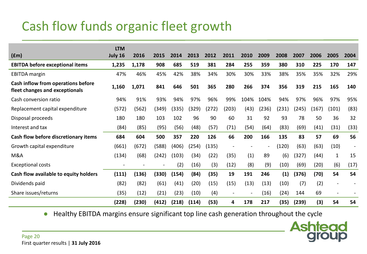## Cash flow funds organic fleet growth

|                                                                      | <b>LTM</b> |       |       |       |       |       |                          |      |        |       |       |       |              |                |
|----------------------------------------------------------------------|------------|-------|-------|-------|-------|-------|--------------------------|------|--------|-------|-------|-------|--------------|----------------|
| (fm)                                                                 | July 16    | 2016  | 2015  | 2014  | 2013  | 2012  | 2011                     | 2010 | 2009   | 2008  | 2007  | 2006  | 2005         | 2004           |
| <b>EBITDA before exceptional items</b>                               | 1,235      | 1,178 | 908   | 685   | 519   | 381   | 284                      | 255  | 359    | 380   | 310   | 225   | 170          | 147            |
| <b>EBITDA</b> margin                                                 | 47%        | 46%   | 45%   | 42%   | 38%   | 34%   | 30%                      | 30%  | 33%    | 38%   | 35%   | 35%   | 32%          | 29%            |
| Cash inflow from operations before<br>fleet changes and exceptionals | 1,160      | 1,071 | 841   | 646   | 501   | 365   | 280                      | 266  | 374    | 356   | 319   | 215   | 165          | 140            |
| Cash conversion ratio                                                | 94%        | 91%   | 93%   | 94%   | 97%   | 96%   | 99%                      | 104% | 104%   | 94%   | 97%   | 96%   | 97%          | 95%            |
| Replacement capital expenditure                                      | (572)      | (562) | (349) | (335) | (329) | (272) | (203)                    | (43) | (236)  | (231) | (245) | (167) | (101)        | (83)           |
| Disposal proceeds                                                    | 180        | 180   | 103   | 102   | 96    | 90    | 60                       | 31   | 92     | 93    | 78    | 50    | 36           | 32             |
| Interest and tax                                                     | (84)       | (85)  | (95)  | (56)  | (48)  | (57)  | (71)                     | (54) | (64)   | (83)  | (69)  | (41)  | (31)         | (33)           |
| Cash flow before discretionary items                                 | 684        | 604   | 500   | 357   | 220   | 126   | 66                       | 200  | 166    | 135   | 83    | 57    | 69           | 56             |
| Growth capital expenditure                                           | (661)      | (672) | (588) | (406) | (254) | (135) | $\overline{\phantom{0}}$ |      | $\sim$ | (120) | (63)  | (63)  | (10)         | $\blacksquare$ |
| M&A                                                                  | (134)      | (68)  | (242) | (103) | (34)  | (22)  | (35)                     | (1)  | 89     | (6)   | (327) | (44)  | $\mathbf{1}$ | 15             |
| <b>Exceptional costs</b>                                             | Ξ.         |       |       | (2)   | (16)  | (3)   | (12)                     | (8)  | (9)    | (10)  | (69)  | (20)  | (6)          | (17)           |
| Cash flow available to equity holders                                | (111)      | (136) | (330) | (154) | (84)  | (35)  | 19                       | 191  | 246    | (1)   | (376) | (70)  | 54           | 54             |
| Dividends paid                                                       | (82)       | (82)  | (61)  | (41)  | (20)  | (15)  | (15)                     | (13) | (13)   | (10)  | (7)   | (2)   | $\sim$       |                |
| Share issues/returns                                                 | (35)       | (12)  | (21)  | (23)  | (10)  | (4)   | $\overline{\phantom{a}}$ |      | (16)   | (24)  | 144   | 69    | $\sim$       |                |
|                                                                      | (228)      | (230) | (412) | (218) | (114) | (53)  | 4                        | 178  | 217    | (35)  | (239) | (3)   | 54           | 54             |

● Healthy EBITDA margins ensure significant top line cash generation throughout the cycle

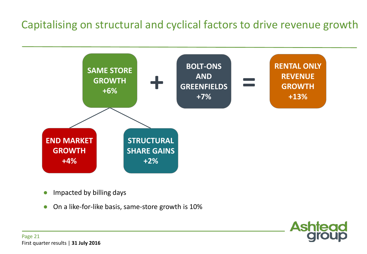#### Capitalising on structural and cyclical factors to drive revenue growth



- Impacted by billing days
- On a like-for-like basis, same-store growth is 10%

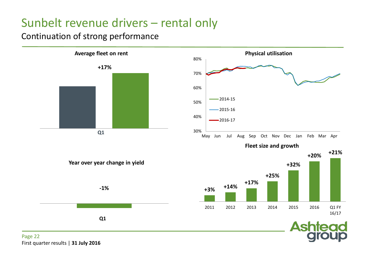#### Sunbelt revenue drivers – rental only

#### Continuation of strong performance



First quarter results | **31 July 2016**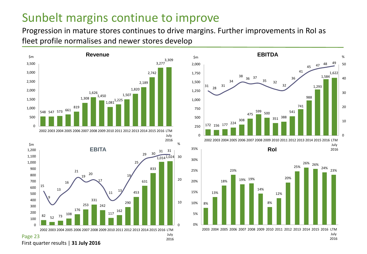#### Sunbelt margins continue to improve

Progression in mature stores continues to drive margins. Further improvements in RoI as fleet profile normalises and newer stores develop



First quarter results | **31 July 2016**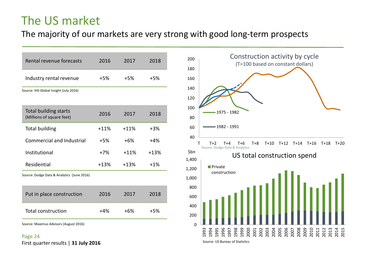#### The US market

#### The majority of our markets are very strong with good long-term prospects

| Rental revenue forecasts                                  | 2016   | 2017   | 2018   |
|-----------------------------------------------------------|--------|--------|--------|
| Industry rental revenue                                   | +5%    | +5%    | +5%    |
| Source: IHS Global Insight (July 2016)                    |        |        |        |
| <b>Total building starts</b><br>(Millions of square feet) | 2016   | 2017   | 2018   |
| <b>Total building</b>                                     | $+11%$ | $+11%$ | $+3\%$ |
| <b>Commercial and Industrial</b>                          | $+5%$  | $+6%$  | $+4%$  |
| Institutional                                             | $+7%$  | $+11%$ | $+13%$ |
| Residential                                               | $+13%$ | $+13%$ | $+1%$  |
| Source: Dodge Data & Analytics (June 2016)                |        |        |        |
| Put in place construction                                 | 2016   | 2017   | 2018   |
| <b>Total construction</b>                                 | $+4%$  | $+6%$  | $+5%$  |
| Source: Maximus Advisors (August 2016)                    |        |        |        |





Source: US Bureau of Statistics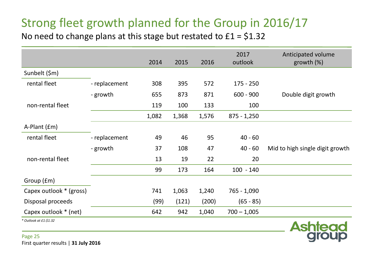### Strong fleet growth planned for the Group in 2016/17

No need to change plans at this stage but restated to  $£1 = $1.32$ 

|                         |               | 2014  | 2015  | 2016  | 2017<br>outlook | Anticipated volume<br>growth $(\%)$ |
|-------------------------|---------------|-------|-------|-------|-----------------|-------------------------------------|
| Sunbelt (\$m)           |               |       |       |       |                 |                                     |
| rental fleet            | - replacement | 308   | 395   | 572   | $175 - 250$     |                                     |
|                         | - growth      | 655   | 873   | 871   | $600 - 900$     | Double digit growth                 |
| non-rental fleet        |               | 119   | 100   | 133   | 100             |                                     |
|                         |               | 1,082 | 1,368 | 1,576 | $875 - 1,250$   |                                     |
| A-Plant (£m)            |               |       |       |       |                 |                                     |
| rental fleet            | - replacement | 49    | 46    | 95    | $40 - 60$       |                                     |
|                         | - growth      | 37    | 108   | 47    | $40 - 60$       | Mid to high single digit growth     |
| non-rental fleet        |               | 13    | 19    | 22    | 20              |                                     |
|                         |               | 99    | 173   | 164   | $100 - 140$     |                                     |
| Group (£m)              |               |       |       |       |                 |                                     |
| Capex outlook * (gross) |               | 741   | 1,063 | 1,240 | 765 - 1,090     |                                     |
| Disposal proceeds       |               | (99)  | (121) | (200) | $(65 - 85)$     |                                     |
| Capex outlook * (net)   |               | 642   | 942   | 1,040 | $700 - 1,005$   |                                     |
| * Outlook at £1:\$1.32  |               |       |       |       |                 | $A - I - I - - -$                   |

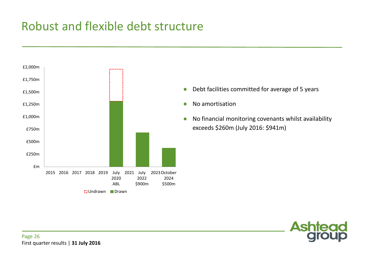#### Robust and flexible debt structure



- Debt facilities committed for average of 5 years
- No amortisation
- No financial monitoring covenants whilst availability exceeds \$260m (July 2016: \$941m)

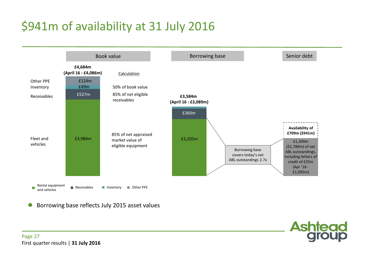## \$941m of availability at 31 July 2016



**Ashtead** 

Borrowing base reflects July 2015 asset values